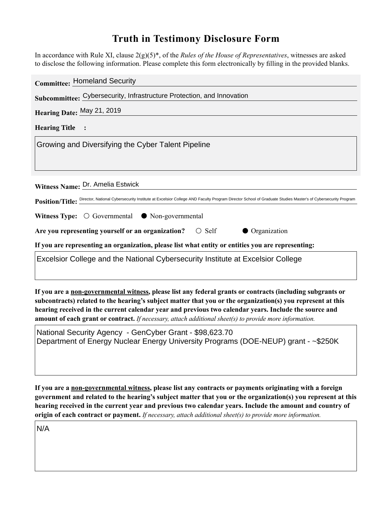## **Truth in Testimony Disclosure Form**

In accordance with Rule XI, clause 2(g)(5)\*, of the *Rules of the House of Representatives*, witnesses are asked to disclose the following information. Please complete this form electronically by filling in the provided blanks.

| <b>Committee: Homeland Security</b>                                                                                                                                       |
|---------------------------------------------------------------------------------------------------------------------------------------------------------------------------|
| Subcommittee: Cybersecurity, Infrastructure Protection, and Innovation                                                                                                    |
| Hearing Date: May 21, 2019                                                                                                                                                |
| <b>Hearing Title</b>                                                                                                                                                      |
| Growing and Diversifying the Cyber Talent Pipeline                                                                                                                        |
|                                                                                                                                                                           |
|                                                                                                                                                                           |
| Witness Name: Dr. Amelia Estwick                                                                                                                                          |
| Position/Title: Director, National Cybersecurity Institute at Excelsior College AND Faculty Program Director School of Graduate Studies Master's of Cybersecurity Program |
| Witness Type: $\bigcirc$ Governmental $\bullet$ Non-governmental                                                                                                          |
| Are you representing yourself or an organization? $\bigcirc$ Self<br>• Organization                                                                                       |
| If you are representing an organization, please list what entity or entities you are representing:                                                                        |
| Excelsior College and the National Cybersecurity Institute at Excelsior College                                                                                           |
|                                                                                                                                                                           |
|                                                                                                                                                                           |

**If you are a non-governmental witness, please list any federal grants or contracts (including subgrants or subcontracts) related to the hearing's subject matter that you or the organization(s) you represent at this hearing received in the current calendar year and previous two calendar years. Include the source and amount of each grant or contract.** *If necessary, attach additional sheet(s) to provide more information.*

National Security Agency - GenCyber Grant - \$98,623.70 Department of Energy Nuclear Energy University Programs (DOE-NEUP) grant - ~\$250K

**If you are a non-governmental witness, please list any contracts or payments originating with a foreign government and related to the hearing's subject matter that you or the organization(s) you represent at this hearing received in the current year and previous two calendar years. Include the amount and country of origin of each contract or payment.** *If necessary, attach additional sheet(s) to provide more information.*

N/A